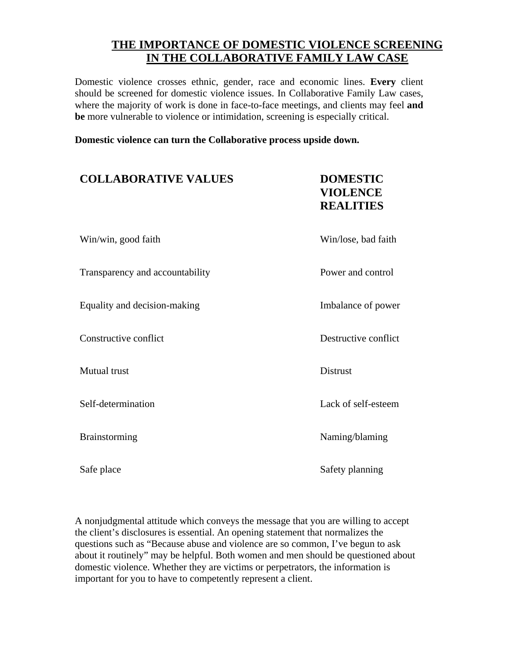## **THE IMPORTANCE OF DOMESTIC VIOLENCE SCREENING IN THE COLLABORATIVE FAMILY LAW CASE**

Domestic violence crosses ethnic, gender, race and economic lines. **Every** client should be screened for domestic violence issues. In Collaborative Family Law cases, where the majority of work is done in face-to-face meetings, and clients may feel **and be** more vulnerable to violence or intimidation, screening is especially critical.

**Domestic violence can turn the Collaborative process upside down.**

| <b>COLLABORATIVE VALUES</b>     | <b>DOMESTIC</b><br><b>VIOLENCE</b><br><b>REALITIES</b> |
|---------------------------------|--------------------------------------------------------|
| Win/win, good faith             | Win/lose, bad faith                                    |
| Transparency and accountability | Power and control                                      |
| Equality and decision-making    | Imbalance of power                                     |
| Constructive conflict           | Destructive conflict                                   |
| <b>Mutual</b> trust             | <b>Distrust</b>                                        |
| Self-determination              | Lack of self-esteem                                    |
| <b>Brainstorming</b>            | Naming/blaming                                         |
| Safe place                      | Safety planning                                        |

A nonjudgmental attitude which conveys the message that you are willing to accept the client's disclosures is essential. An opening statement that normalizes the questions such as "Because abuse and violence are so common, I've begun to ask about it routinely" may be helpful. Both women and men should be questioned about domestic violence. Whether they are victims or perpetrators, the information is important for you to have to competently represent a client.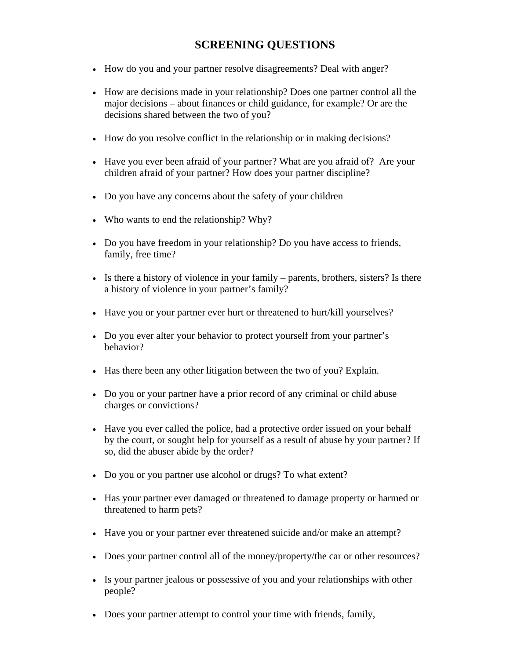## **SCREENING QUESTIONS**

- How do you and your partner resolve disagreements? Deal with anger?
- How are decisions made in your relationship? Does one partner control all the major decisions – about finances or child guidance, for example? Or are the decisions shared between the two of you?
- How do you resolve conflict in the relationship or in making decisions?
- Have you ever been afraid of your partner? What are you afraid of? Are your children afraid of your partner? How does your partner discipline?
- Do you have any concerns about the safety of your children
- Who wants to end the relationship? Why?
- Do you have freedom in your relationship? Do you have access to friends, family, free time?
- Is there a history of violence in your family parents, brothers, sisters? Is there a history of violence in your partner's family?
- Have you or your partner ever hurt or threatened to hurt/kill yourselves?
- Do you ever alter your behavior to protect yourself from your partner's behavior?
- Has there been any other litigation between the two of you? Explain.
- Do you or your partner have a prior record of any criminal or child abuse charges or convictions?
- Have you ever called the police, had a protective order issued on your behalf by the court, or sought help for yourself as a result of abuse by your partner? If so, did the abuser abide by the order?
- Do you or you partner use alcohol or drugs? To what extent?
- Has your partner ever damaged or threatened to damage property or harmed or threatened to harm pets?
- Have you or your partner ever threatened suicide and/or make an attempt?
- Does your partner control all of the money/property/the car or other resources?
- Is your partner jealous or possessive of you and your relationships with other people?
- Does your partner attempt to control your time with friends, family,